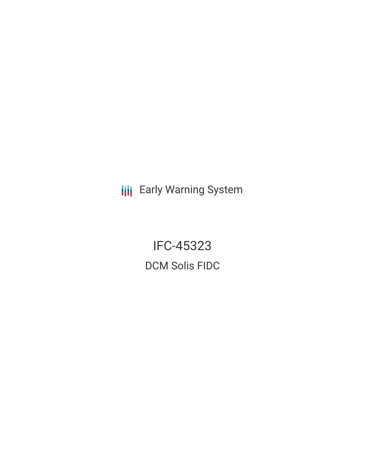**III** Early Warning System

IFC-45323 DCM Solis FIDC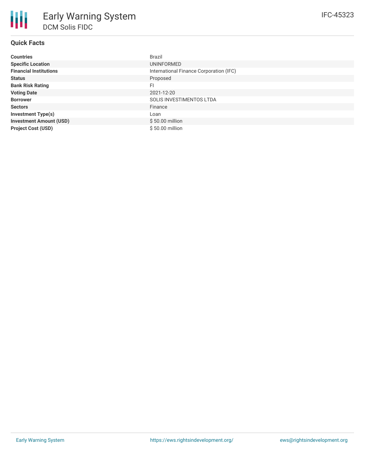| <b>Countries</b>               | <b>Brazil</b>                           |
|--------------------------------|-----------------------------------------|
| <b>Specific Location</b>       | <b>UNINFORMED</b>                       |
| <b>Financial Institutions</b>  | International Finance Corporation (IFC) |
| <b>Status</b>                  | Proposed                                |
| <b>Bank Risk Rating</b>        | FI                                      |
| <b>Voting Date</b>             | 2021-12-20                              |
| <b>Borrower</b>                | SOLIS INVESTIMENTOS LTDA                |
| <b>Sectors</b>                 | Finance                                 |
| <b>Investment Type(s)</b>      | Loan                                    |
| <b>Investment Amount (USD)</b> | $$50.00$ million                        |
| <b>Project Cost (USD)</b>      | $$50.00$ million                        |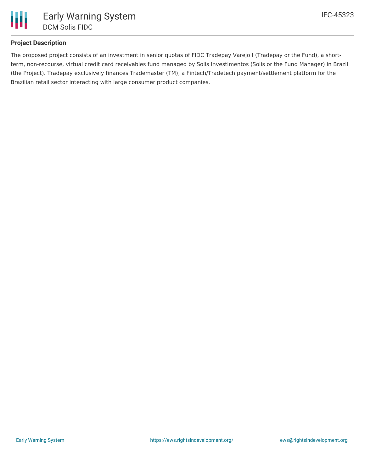

# **Project Description**

The proposed project consists of an investment in senior quotas of FIDC Tradepay Varejo I (Tradepay or the Fund), a shortterm, non-recourse, virtual credit card receivables fund managed by Solis Investimentos (Solis or the Fund Manager) in Brazil (the Project). Tradepay exclusively finances Trademaster (TM), a Fintech/Tradetech payment/settlement platform for the Brazilian retail sector interacting with large consumer product companies.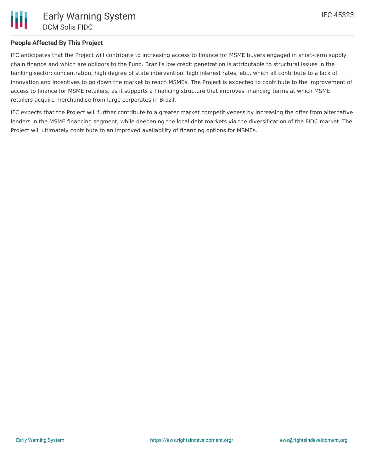# **People Affected By This Project**

IFC anticipates that the Project will contribute to increasing access to finance for MSME buyers engaged in short-term supply chain finance and which are obligors to the Fund. Brazil's low credit penetration is attributable to structural issues in the banking sector; concentration, high degree of state intervention, high interest rates, etc., which all contribute to a lack of innovation and incentives to go down the market to reach MSMEs. The Project is expected to contribute to the improvement of access to finance for MSME retailers, as it supports a financing structure that improves financing terms at which MSME retailers acquire merchandise from large corporates in Brazil.

IFC expects that the Project will further contribute to a greater market competitiveness by increasing the offer from alternative lenders in the MSME financing segment, while deepening the local debt markets via the diversification of the FIDC market. The Project will ultimately contribute to an improved availability of financing options for MSMEs.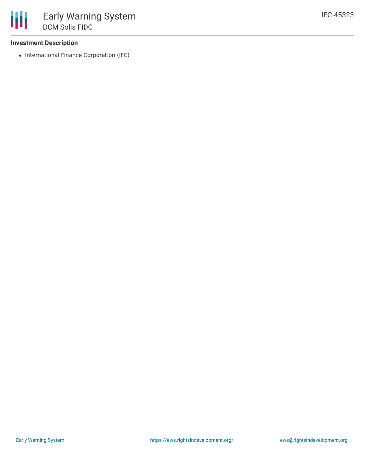## **Investment Description**

• International Finance Corporation (IFC)